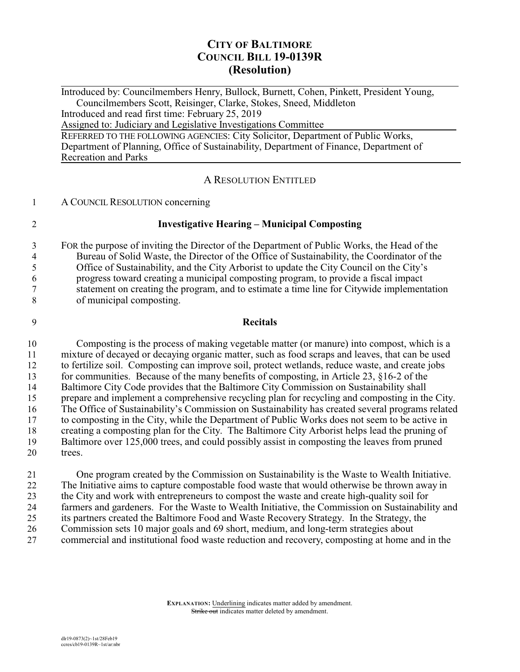# **CITY OF BALTIMORE COUNCIL BILL 19-0139R (Resolution)**

 $\overline{a}$ Introduced by: Councilmembers Henry, Bullock, Burnett, Cohen, Pinkett, President Young, Councilmembers Scott, Reisinger, Clarke, Stokes, Sneed, Middleton

Introduced and read first time: February 25, 2019

Assigned to: Judiciary and Legislative Investigations Committee

REFERRED TO THE FOLLOWING AGENCIES: City Solicitor, Department of Public Works, Department of Planning, Office of Sustainability, Department of Finance, Department of Recreation and Parks

### A RESOLUTION ENTITLED

### 1 A COUNCIL RESOLUTION concerning

## 2 **Investigative Hearing – Municipal Composting**

 FOR the purpose of inviting the Director of the Department of Public Works, the Head of the Bureau of Solid Waste, the Director of the Office of Sustainability, the Coordinator of the Office of Sustainability, and the City Arborist to update the City Council on the City's progress toward creating a municipal composting program, to provide a fiscal impact statement on creating the program, and to estimate a time line for Citywide implementation of municipal composting.

## 9 **Recitals**

 Composting is the process of making vegetable matter (or manure) into compost, which is a mixture of decayed or decaying organic matter, such as food scraps and leaves, that can be used to fertilize soil. Composting can improve soil, protect wetlands, reduce waste, and create jobs for communities. Because of the many benefits of composting, in Article 23, §16-2 of the Baltimore City Code provides that the Baltimore City Commission on Sustainability shall prepare and implement a comprehensive recycling plan for recycling and composting in the City. The Office of Sustainability's Commission on Sustainability has created several programs related to composting in the City, while the Department of Public Works does not seem to be active in creating a composting plan for the City. The Baltimore City Arborist helps lead the pruning of 19 Baltimore over 125,000 trees, and could possibly assist in composting the leaves from pruned<br>20 trees. trees.

 One program created by the Commission on Sustainability is the Waste to Wealth Initiative. The Initiative aims to capture compostable food waste that would otherwise be thrown away in the City and work with entrepreneurs to compost the waste and create high-quality soil for farmers and gardeners. For the Waste to Wealth Initiative, the Commission on Sustainability and its partners created the Baltimore Food and Waste Recovery Strategy. In the Strategy, the Commission sets 10 major goals and 69 short, medium, and long-term strategies about commercial and institutional food waste reduction and recovery, composting at home and in the